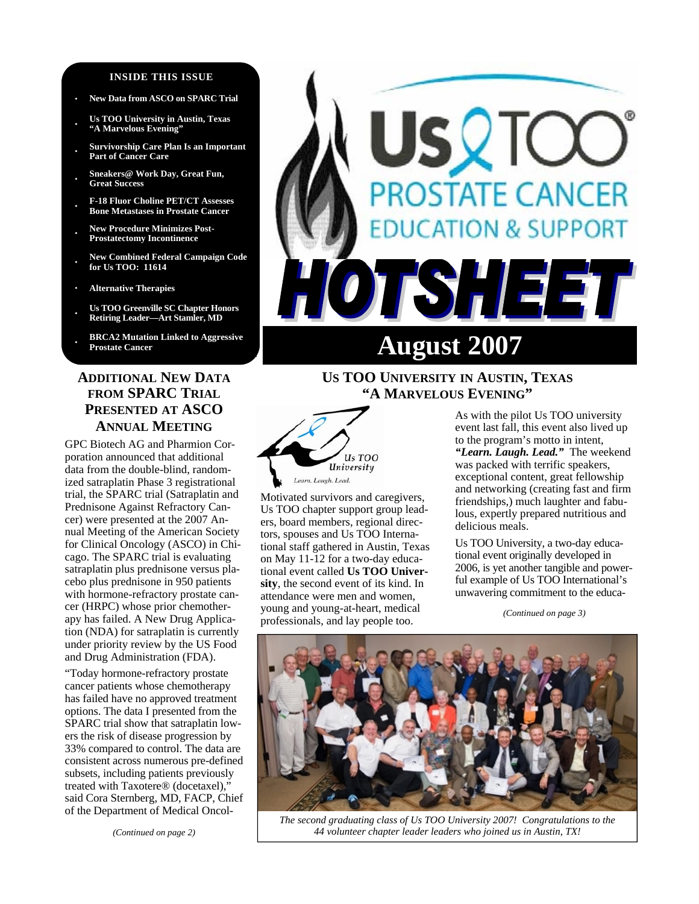#### **INSIDE THIS ISSUE**

- **· New Data from ASCO on SPARC Trial**
- **· Us TOO University in Austin, Texas "A Marvelous Evening"**
- **· Survivorship Care Plan Is an Important Part of Cancer Care**
- **· Sneakers@ Work Day, Great Fun, Great Success**
- **· F-18 Fluor Choline PET/CT Assesses Bone Metastases in Prostate Cancer**
- **· New Procedure Minimizes Post-Prostatectomy Incontinence**
- **· New Combined Federal Campaign Code for Us TOO: 11614**
- **· Alternative Therapies**
- **· Us TOO Greenville SC Chapter Honors Retiring Leader—Art Stamler, MD**
- **· BRCA2 Mutation Linked to Aggressive**

# **ADDITIONAL NEW DATA FROM SPARC TRIAL PRESENTED AT ASCO ANNUAL MEETING**

GPC Biotech AG and Pharmion Corporation announced that additional data from the double-blind, randomized satraplatin Phase 3 registrational trial, the SPARC trial (Satraplatin and Prednisone Against Refractory Cancer) were presented at the 2007 Annual Meeting of the American Society for Clinical Oncology (ASCO) in Chicago. The SPARC trial is evaluating satraplatin plus prednisone versus placebo plus prednisone in 950 patients with hormone-refractory prostate cancer (HRPC) whose prior chemotherapy has failed. A New Drug Application (NDA) for satraplatin is currently under priority review by the US Food and Drug Administration (FDA).

"Today hormone-refractory prostate cancer patients whose chemotherapy has failed have no approved treatment options. The data I presented from the SPARC trial show that satraplatin lowers the risk of disease progression by 33% compared to control. The data are consistent across numerous pre-defined subsets, including patients previously treated with Taxotere® (docetaxel)," said Cora Sternberg, MD, FACP, Chief of the Department of Medical Oncol-

# USQTO **PROSTATE CANCER DUCATION & SUPPORT** OTSHEET **Prostate Cancer August 2007**

# **US TOO UNIVERSITY IN AUSTIN, TEXAS "A MARVELOUS EVENING"**



Motivated survivors and caregivers, Us TOO chapter support group leaders, board members, regional directors, spouses and Us TOO International staff gathered in Austin, Texas on May 11-12 for a two-day educational event called **Us TOO University**, the second event of its kind. In attendance were men and women, young and young-at-heart, medical professionals, and lay people too.

As with the pilot Us TOO university event last fall, this event also lived up to the program's motto in intent, *"Learn. Laugh. Lead."* The weekend was packed with terrific speakers, exceptional content, great fellowship and networking (creating fast and firm friendships,) much laughter and fabulous, expertly prepared nutritious and delicious meals.

Us TOO University, a two-day educational event originally developed in 2006, is yet another tangible and powerful example of Us TOO International's unwavering commitment to the educa-

*(Continued on page 3)* 



*The second graduating class of Us TOO University 2007! Congratulations to the 44 volunteer chapter leader leaders who joined us in Austin, TX!*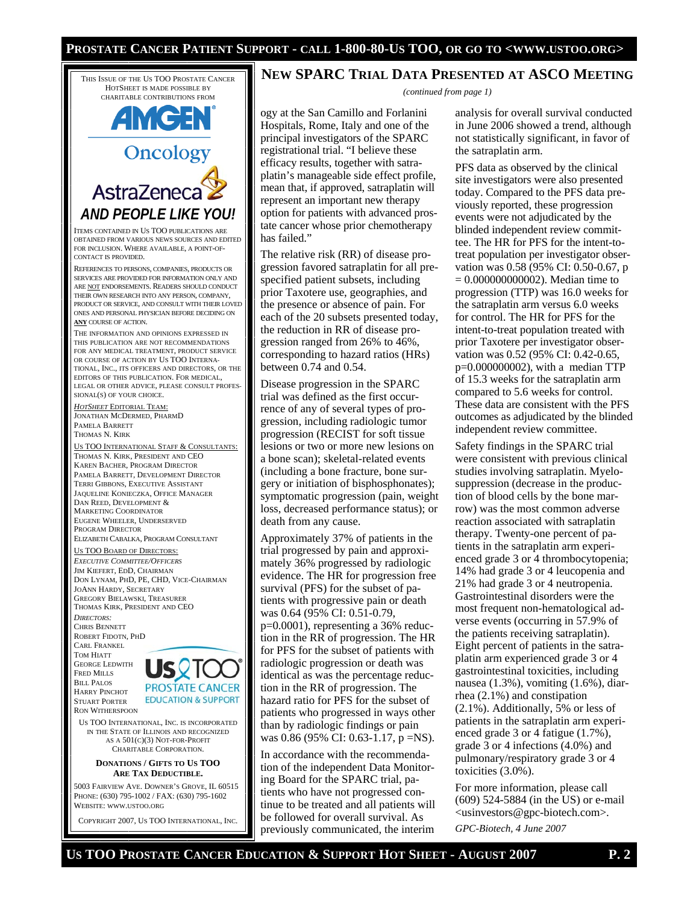#### **PROSTATE CANCER PATIENT SUPPORT - CALL 1-800-80-US TOO, OR GO TO <WWW.USTOO.ORG>**

THIS ISSUE OF THE US TOO PROSTATE CANCER HOTSHEET IS MADE POSSIBLE BY CHARITABLE CONTRIBUTIONS FROM

# **AMGEN** Oncology

AstraZeneca *AND PEOPLE LIKE YOU!* 

ITEMS CONTAINED IN US TOO PUBLICATIONS ARE OBTAINED FROM VARIOUS NEWS SOURCES AND EDITED FOR INCLUSION. WHERE AVAILABLE, A POINT-OF-CONTACT IS PROVIDED.

REFERENCES TO PERSONS, COMPANIES, PRODUCTS OR SERVICES ARE PROVIDED FOR INFORMATION ONLY AND ARE NOT ENDORSEMENTS. READERS SHOULD CONDUCT THEIR OWN RESEARCH INTO ANY PERSON, COMPANY, PRODUCT OR SERVICE, AND CONSULT WITH THEIR LOVED ONES AND PERSONAL PHYSICIAN BEFORE DECIDING ON **ANY** COURSE OF ACTION.

THE INFORMATION AND OPINIONS EXPRESSED IN THIS PUBLICATION ARE NOT RECOMMENDATIONS FOR ANY MEDICAL TREATMENT, PRODUCT SERVICE OR COURSE OF ACTION BY US TOO INTERNA-TIONAL, INC., ITS OFFICERS AND DIRECTORS, OR THE EDITORS OF THIS PUBLICATION. FOR MEDICAL, LEGAL OR OTHER ADVICE, PLEASE CONSULT PROFES-SIONAL(S) OF YOUR CHOICE.

*HOTSHEET* EDITORIAL TEAM: JONATHAN MCDERMED, PHARMD PAMELA BARRETT THOMAS N. KIRK

US TOO INTERNATIONAL STAFF & CONSULTANTS: THOMAS N. KIRK, PRESIDENT AND CEO KAREN BACHER, PROGRAM DIRECTOR PAMELA BARRETT, DEVELOPMENT DIRECTOR TERRI GIBBONS, EXECUTIVE ASSISTANT JAQUELINE KONIECZKA, OFFICE MANAGER DAN REED, DEVELOPMENT & MARKETING COORDINATOR EUGENE WHEELER, UNDERSERVED PROGRAM DIRECTOR ELIZABETH CABALKA, PROGRAM CONSULTANT

#### US TOO BOARD OF DIRECTORS:

*EXECUTIVE COMMITTEE/OFFICERS* JIM KIEFERT, EDD, CHAIRMAN DON LYNAM, PHD, PE, CHD, VICE-CHAIRMAN JOANN HARDY, SECRETARY GREGORY BIELAWSKI, TREASURER THOMAS KIRK, PRESIDENT AND CEO *DIRECTORS:*  CHRIS BENNETT ROBERT FIDOTN, PHD CARL FRANKEL TOM HIATT

GEORGE LEDWITH FRED MILLS BILL PALOS HARRY PINCHOT STUART PORTER RON WITHERSPOON



US TOO INTERNATIONAL, INC. IS INCORPORATED IN THE STATE OF ILLINOIS AND RECOGNIZED AS A 501(C)(3) NOT-FOR-PROFIT CHARITABLE CORPORATION.

#### **DONATIONS / GIFTS TO US TOO ARE TAX DEDUCTIBLE.**

5003 FAIRVIEW AVE. DOWNER'S GROVE, IL 60515 PHONE: (630) 795-1002 / FAX: (630) 795-1602 WEBSITE: WWW.USTOO.ORG

COPYRIGHT 2007, US TOO INTERNATIONAL, INC.

#### **NEW SPARC TRIAL DATA PRESENTED AT ASCO MEETING**

*(continued from page 1)* 

ogy at the San Camillo and Forlanini Hospitals, Rome, Italy and one of the principal investigators of the SPARC registrational trial. "I believe these efficacy results, together with satraplatin's manageable side effect profile, mean that, if approved, satraplatin will represent an important new therapy option for patients with advanced prostate cancer whose prior chemotherapy has failed."

The relative risk (RR) of disease progression favored satraplatin for all prespecified patient subsets, including prior Taxotere use, geographies, and the presence or absence of pain. For each of the 20 subsets presented today, the reduction in RR of disease progression ranged from 26% to 46%, corresponding to hazard ratios (HRs) between 0.74 and 0.54.

Disease progression in the SPARC trial was defined as the first occurrence of any of several types of progression, including radiologic tumor progression (RECIST for soft tissue lesions or two or more new lesions on a bone scan); skeletal-related events (including a bone fracture, bone surgery or initiation of bisphosphonates); symptomatic progression (pain, weight loss, decreased performance status); or death from any cause.

Approximately 37% of patients in the trial progressed by pain and approximately 36% progressed by radiologic evidence. The HR for progression free survival (PFS) for the subset of patients with progressive pain or death was 0.64 (95% CI: 0.51-0.79, p=0.0001), representing a 36% reduction in the RR of progression. The HR for PFS for the subset of patients with radiologic progression or death was identical as was the percentage reduction in the RR of progression. The hazard ratio for PFS for the subset of patients who progressed in ways other than by radiologic findings or pain was 0.86 (95% CI: 0.63-1.17, p =NS).

In accordance with the recommendation of the independent Data Monitoring Board for the SPARC trial, patients who have not progressed continue to be treated and all patients will be followed for overall survival. As previously communicated, the interim

analysis for overall survival conducted in June 2006 showed a trend, although not statistically significant, in favor of the satraplatin arm.

PFS data as observed by the clinical site investigators were also presented today. Compared to the PFS data previously reported, these progression events were not adjudicated by the blinded independent review committee. The HR for PFS for the intent-totreat population per investigator observation was 0.58 (95% CI: 0.50-0.67, p = 0.000000000002). Median time to progression (TTP) was 16.0 weeks for the satraplatin arm versus 6.0 weeks for control. The HR for PFS for the intent-to-treat population treated with prior Taxotere per investigator observation was 0.52 (95% CI: 0.42-0.65, p=0.000000002), with a median TTP of 15.3 weeks for the satraplatin arm compared to 5.6 weeks for control. These data are consistent with the PFS outcomes as adjudicated by the blinded independent review committee.

Safety findings in the SPARC trial were consistent with previous clinical studies involving satraplatin. Myelosuppression (decrease in the production of blood cells by the bone marrow) was the most common adverse reaction associated with satraplatin therapy. Twenty-one percent of patients in the satraplatin arm experienced grade 3 or 4 thrombocytopenia; 14% had grade 3 or 4 leucopenia and 21% had grade 3 or 4 neutropenia. Gastrointestinal disorders were the most frequent non-hematological adverse events (occurring in 57.9% of the patients receiving satraplatin). Eight percent of patients in the satraplatin arm experienced grade 3 or 4 gastrointestinal toxicities, including nausea (1.3%), vomiting (1.6%), diarrhea (2.1%) and constipation (2.1%). Additionally, 5% or less of patients in the satraplatin arm experienced grade 3 or 4 fatigue (1.7%), grade 3 or 4 infections (4.0%) and pulmonary/respiratory grade 3 or 4 toxicities (3.0%).

For more information, please call (609) 524-5884 (in the US) or e-mail <usinvestors@gpc-biotech.com>. *GPC-Biotech, 4 June 2007* 

**US TOO PROSTATE CANCER EDUCATION & SUPPORT HOT SHEET - AUGUST 2007 P. 2**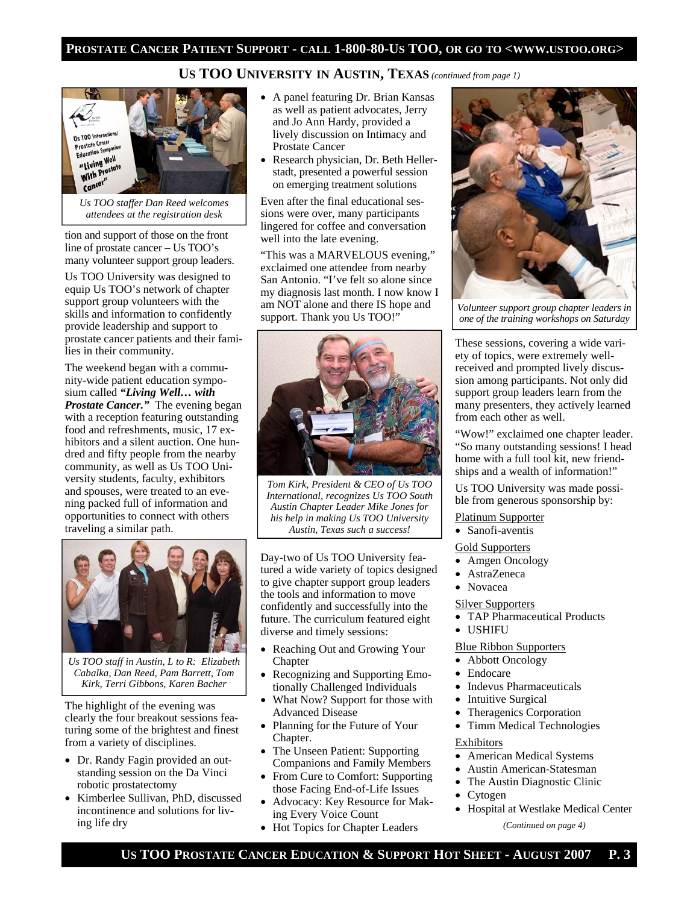# **US TOO UNIVERSITY IN AUSTIN, TEXAS** *(continued from page 1)*



*Us TOO staffer Dan Reed welcomes attendees at the registration desk* 

tion and support of those on the front line of prostate cancer – Us TOO's many volunteer support group leaders.

Us TOO University was designed to equip Us TOO's network of chapter support group volunteers with the skills and information to confidently provide leadership and support to prostate cancer patients and their families in their community.

The weekend began with a community-wide patient education symposium called *"Living Well… with Prostate Cancer."* The evening began with a reception featuring outstanding food and refreshments, music, 17 exhibitors and a silent auction. One hundred and fifty people from the nearby community, as well as Us TOO University students, faculty, exhibitors and spouses, were treated to an evening packed full of information and opportunities to connect with others traveling a similar path.



*Us TOO staff in Austin, L to R: Elizabeth Cabalka, Dan Reed, Pam Barrett, Tom Kirk, Terri Gibbons, Karen Bacher* 

The highlight of the evening was clearly the four breakout sessions featuring some of the brightest and finest from a variety of disciplines.

- Dr. Randy Fagin provided an outstanding session on the Da Vinci robotic prostatectomy
- Kimberlee Sullivan, PhD, discussed incontinence and solutions for living life dry
- A panel featuring Dr. Brian Kansas as well as patient advocates, Jerry and Jo Ann Hardy, provided a lively discussion on Intimacy and Prostate Cancer
- Research physician, Dr. Beth Hellerstadt, presented a powerful session on emerging treatment solutions

Even after the final educational sessions were over, many participants lingered for coffee and conversation well into the late evening.

"This was a MARVELOUS evening," exclaimed one attendee from nearby San Antonio. "I've felt so alone since my diagnosis last month. I now know I am NOT alone and there IS hope and support. Thank you Us TOO!"



*Tom Kirk, President & CEO of Us TOO International, recognizes Us TOO South Austin Chapter Leader Mike Jones for his help in making Us TOO University Austin, Texas such a success!* 

Day-two of Us TOO University featured a wide variety of topics designed to give chapter support group leaders the tools and information to move confidently and successfully into the future. The curriculum featured eight diverse and timely sessions:

- Reaching Out and Growing Your Chapter
- Recognizing and Supporting Emotionally Challenged Individuals
- What Now? Support for those with Advanced Disease
- Planning for the Future of Your Chapter.
- The Unseen Patient: Supporting Companions and Family Members
- From Cure to Comfort: Supporting those Facing End-of-Life Issues
- Advocacy: Key Resource for Making Every Voice Count
- Hot Topics for Chapter Leaders



*Volunteer support group chapter leaders in one of the training workshops on Saturday* 

These sessions, covering a wide variety of topics, were extremely wellreceived and prompted lively discussion among participants. Not only did support group leaders learn from the many presenters, they actively learned from each other as well.

"Wow!" exclaimed one chapter leader. "So many outstanding sessions! I head home with a full tool kit, new friendships and a wealth of information!"

Us TOO University was made possible from generous sponsorship by:

Platinum Supporter

• Sanofi-aventis

Gold Supporters

- Amgen Oncology
- AstraZeneca
- Novacea

#### Silver Supporters

- TAP Pharmaceutical Products
- USHIFU

Blue Ribbon Supporters

- Abbott Oncology
- Endocare
- Indevus Pharmaceuticals
- Intuitive Surgical
- Theragenics Corporation
- Timm Medical Technologies

#### Exhibitors

- American Medical Systems
- Austin American-Statesman
- The Austin Diagnostic Clinic
- Cytogen
- Hospital at Westlake Medical Center *(Continued on page 4)*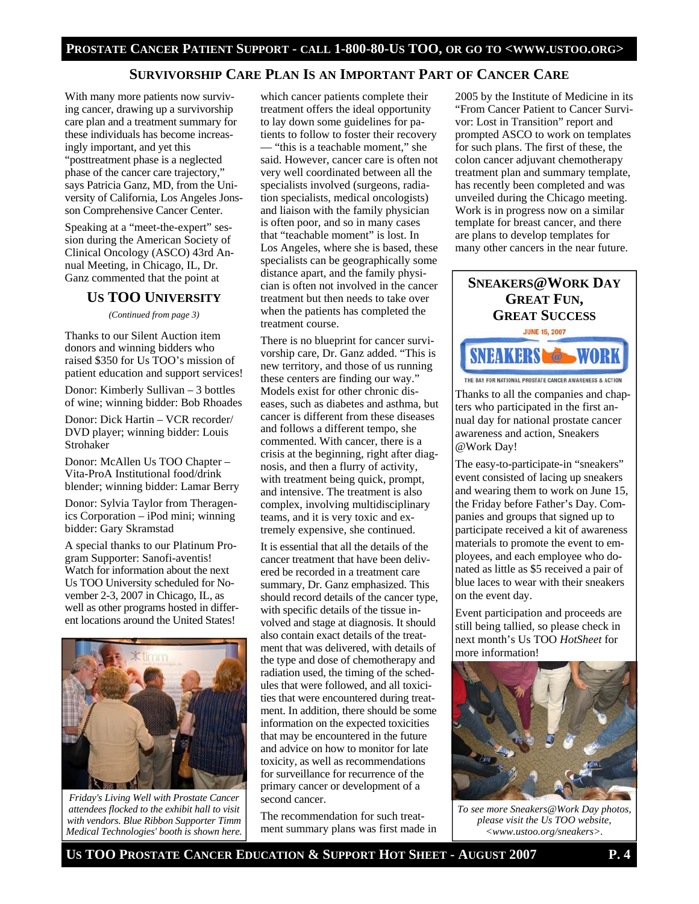#### **SURVIVORSHIP CARE PLAN IS AN IMPORTANT PART OF CANCER CARE**

With many more patients now surviving cancer, drawing up a survivorship care plan and a treatment summary for these individuals has become increasingly important, and yet this "posttreatment phase is a neglected phase of the cancer care trajectory," says Patricia Ganz, MD, from the University of California, Los Angeles Jonsson Comprehensive Cancer Center.

Speaking at a "meet-the-expert" session during the American Society of Clinical Oncology (ASCO) 43rd Annual Meeting, in Chicago, IL, Dr. Ganz commented that the point at

#### **US TOO UNIVERSITY**

*(Continued from page 3)* 

Thanks to our Silent Auction item donors and winning bidders who raised \$350 for Us TOO's mission of patient education and support services!

Donor: Kimberly Sullivan – 3 bottles of wine; winning bidder: Bob Rhoades

Donor: Dick Hartin – VCR recorder/ DVD player; winning bidder: Louis Strohaker

Donor: McAllen Us TOO Chapter – Vita-ProA Institutional food/drink blender; winning bidder: Lamar Berry

Donor: Sylvia Taylor from Theragenics Corporation – iPod mini; winning bidder: Gary Skramstad

A special thanks to our Platinum Program Supporter: Sanofi-aventis! Watch for information about the next Us TOO University scheduled for November 2-3, 2007 in Chicago, IL, as well as other programs hosted in different locations around the United States!



*Friday's Living Well with Prostate Cancer attendees flocked to the exhibit hall to visit with vendors. Blue Ribbon Supporter Timm Medical Technologies' booth is shown here.* 

which cancer patients complete their treatment offers the ideal opportunity to lay down some guidelines for patients to follow to foster their recovery — "this is a teachable moment," she said. However, cancer care is often not very well coordinated between all the specialists involved (surgeons, radiation specialists, medical oncologists) and liaison with the family physician is often poor, and so in many cases that "teachable moment" is lost. In Los Angeles, where she is based, these specialists can be geographically some distance apart, and the family physician is often not involved in the cancer treatment but then needs to take over when the patients has completed the treatment course.

There is no blueprint for cancer survivorship care, Dr. Ganz added. "This is new territory, and those of us running these centers are finding our way." Models exist for other chronic diseases, such as diabetes and asthma, but cancer is different from these diseases and follows a different tempo, she commented. With cancer, there is a crisis at the beginning, right after diagnosis, and then a flurry of activity, with treatment being quick, prompt, and intensive. The treatment is also complex, involving multidisciplinary teams, and it is very toxic and extremely expensive, she continued.

It is essential that all the details of the cancer treatment that have been delivered be recorded in a treatment care summary, Dr. Ganz emphasized. This should record details of the cancer type, with specific details of the tissue involved and stage at diagnosis. It should also contain exact details of the treatment that was delivered, with details of the type and dose of chemotherapy and radiation used, the timing of the schedules that were followed, and all toxicities that were encountered during treatment. In addition, there should be some information on the expected toxicities that may be encountered in the future and advice on how to monitor for late toxicity, as well as recommendations for surveillance for recurrence of the primary cancer or development of a second cancer.

The recommendation for such treatment summary plans was first made in

2005 by the Institute of Medicine in its "From Cancer Patient to Cancer Survivor: Lost in Transition" report and prompted ASCO to work on templates for such plans. The first of these, the colon cancer adjuvant chemotherapy treatment plan and summary template, has recently been completed and was unveiled during the Chicago meeting. Work is in progress now on a similar template for breast cancer, and there are plans to develop templates for many other cancers in the near future.

# **SNEAKERS@WORK DAY GREAT FUN, GREAT SUCCESS**





Thanks to all the companies and chapters who participated in the first annual day for national prostate cancer awareness and action, Sneakers @Work Day!

The easy-to-participate-in "sneakers" event consisted of lacing up sneakers and wearing them to work on June 15, the Friday before Father's Day. Companies and groups that signed up to participate received a kit of awareness materials to promote the event to employees, and each employee who donated as little as \$5 received a pair of blue laces to wear with their sneakers on the event day.

Event participation and proceeds are still being tallied, so please check in next month's Us TOO *HotSheet* for more information!



*To see more Sneakers@Work Day photos, please visit the Us TOO website, <www.ustoo.org/sneakers>.*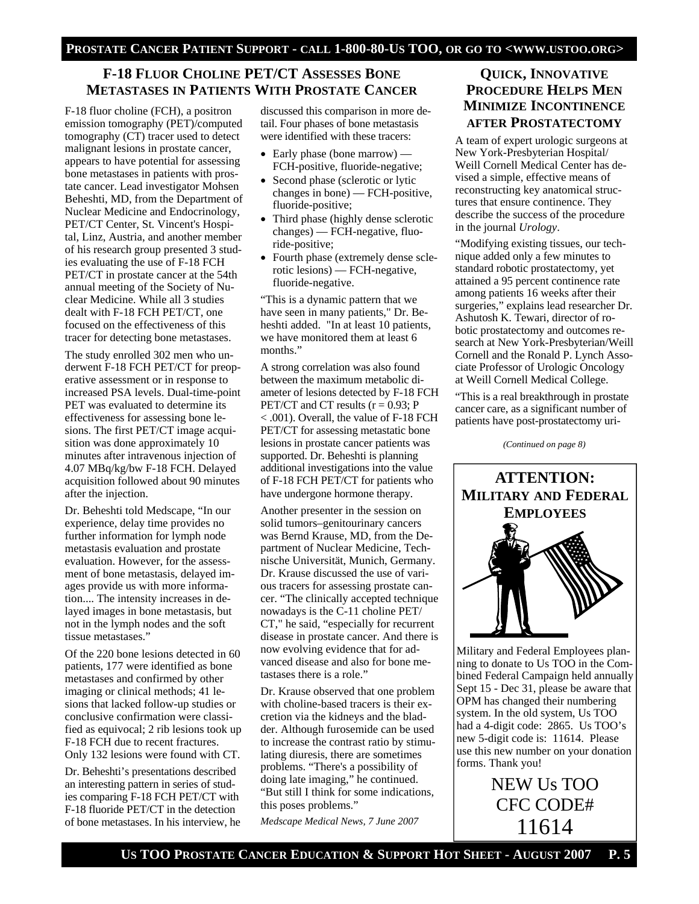# **F-18 FLUOR CHOLINE PET/CT ASSESSES BONE METASTASES IN PATIENTS WITH PROSTATE CANCER**

F-18 fluor choline (FCH), a positron emission tomography (PET)/computed tomography (CT) tracer used to detect malignant lesions in prostate cancer, appears to have potential for assessing bone metastases in patients with prostate cancer. Lead investigator Mohsen Beheshti, MD, from the Department of Nuclear Medicine and Endocrinology, PET/CT Center, St. Vincent's Hospital, Linz, Austria, and another member of his research group presented 3 studies evaluating the use of F-18 FCH PET/CT in prostate cancer at the 54th annual meeting of the Society of Nuclear Medicine. While all 3 studies dealt with F-18 FCH PET/CT, one focused on the effectiveness of this tracer for detecting bone metastases.

The study enrolled 302 men who underwent F-18 FCH PET/CT for preoperative assessment or in response to increased PSA levels. Dual-time-point PET was evaluated to determine its effectiveness for assessing bone lesions. The first PET/CT image acquisition was done approximately 10 minutes after intravenous injection of 4.07 MBq/kg/bw F-18 FCH. Delayed acquisition followed about 90 minutes after the injection.

Dr. Beheshti told Medscape, "In our experience, delay time provides no further information for lymph node metastasis evaluation and prostate evaluation. However, for the assessment of bone metastasis, delayed images provide us with more information.... The intensity increases in delayed images in bone metastasis, but not in the lymph nodes and the soft tissue metastases."

Of the 220 bone lesions detected in 60 patients, 177 were identified as bone metastases and confirmed by other imaging or clinical methods; 41 lesions that lacked follow-up studies or conclusive confirmation were classified as equivocal; 2 rib lesions took up F-18 FCH due to recent fractures. Only 132 lesions were found with CT.

Dr. Beheshti's presentations described an interesting pattern in series of studies comparing F-18 FCH PET/CT with F-18 fluoride PET/CT in the detection of bone metastases. In his interview, he discussed this comparison in more detail. Four phases of bone metastasis were identified with these tracers:

- Early phase (bone marrow) FCH-positive, fluoride-negative;
- Second phase (sclerotic or lytic changes in bone) — FCH-positive, fluoride-positive;
- Third phase (highly dense sclerotic changes) — FCH-negative, fluoride-positive;
- Fourth phase (extremely dense sclerotic lesions) — FCH-negative, fluoride-negative.

"This is a dynamic pattern that we have seen in many patients," Dr. Beheshti added. "In at least 10 patients, we have monitored them at least 6 months."

A strong correlation was also found between the maximum metabolic diameter of lesions detected by F-18 FCH PET/CT and CT results  $(r = 0.93; P)$ < .001). Overall, the value of F-18 FCH PET/CT for assessing metastatic bone lesions in prostate cancer patients was supported. Dr. Beheshti is planning additional investigations into the value of F-18 FCH PET/CT for patients who have undergone hormone therapy.

Another presenter in the session on solid tumors–genitourinary cancers was Bernd Krause, MD, from the Department of Nuclear Medicine, Technische Universität, Munich, Germany. Dr. Krause discussed the use of various tracers for assessing prostate cancer. "The clinically accepted technique nowadays is the C-11 choline PET/ CT," he said, "especially for recurrent disease in prostate cancer. And there is now evolving evidence that for advanced disease and also for bone metastases there is a role."

Dr. Krause observed that one problem with choline-based tracers is their excretion via the kidneys and the bladder. Although furosemide can be used to increase the contrast ratio by stimulating diuresis, there are sometimes problems. "There's a possibility of doing late imaging," he continued. "But still I think for some indications, this poses problems."

*Medscape Medical News, 7 June 2007* 

# **QUICK, INNOVATIVE PROCEDURE HELPS MEN MINIMIZE INCONTINENCE AFTER PROSTATECTOMY**

A team of expert urologic surgeons at New York-Presbyterian Hospital/ Weill Cornell Medical Center has devised a simple, effective means of reconstructing key anatomical structures that ensure continence. They describe the success of the procedure in the journal *Urology*.

"Modifying existing tissues, our technique added only a few minutes to standard robotic prostatectomy, yet attained a 95 percent continence rate among patients 16 weeks after their surgeries," explains lead researcher Dr. Ashutosh K. Tewari, director of robotic prostatectomy and outcomes research at New York-Presbyterian/Weill Cornell and the Ronald P. Lynch Associate Professor of Urologic Oncology at Weill Cornell Medical College.

"This is a real breakthrough in prostate cancer care, as a significant number of patients have post-prostatectomy uri-

*(Continued on page 8)* 



Military and Federal Employees planning to donate to Us TOO in the Combined Federal Campaign held annually Sept 15 - Dec 31, please be aware that OPM has changed their numbering system. In the old system, Us TOO had a 4-digit code: 2865. Us TOO's new 5-digit code is: 11614. Please use this new number on your donation forms. Thank you!

> NEW Us TOO CFC CODE# 11614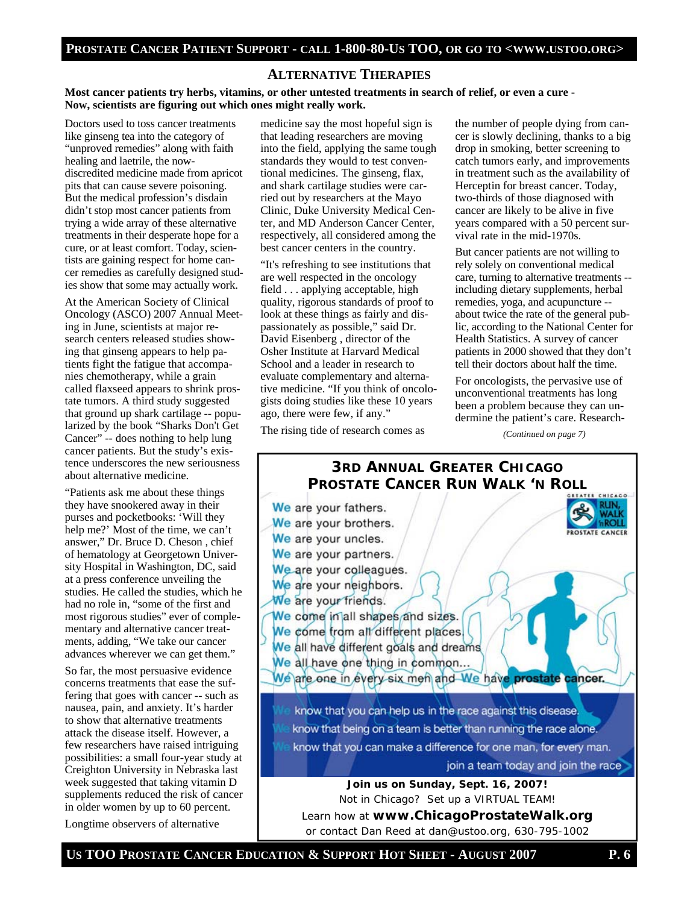#### **ALTERNATIVE THERAPIES**

**Most cancer patients try herbs, vitamins, or other untested treatments in search of relief, or even a cure - Now, scientists are figuring out which ones might really work.** 

Doctors used to toss cancer treatments like ginseng tea into the category of "unproved remedies" along with faith healing and laetrile, the nowdiscredited medicine made from apricot pits that can cause severe poisoning. But the medical profession's disdain didn't stop most cancer patients from trying a wide array of these alternative treatments in their desperate hope for a cure, or at least comfort. Today, scientists are gaining respect for home cancer remedies as carefully designed studies show that some may actually work.

At the American Society of Clinical Oncology (ASCO) 2007 Annual Meeting in June, scientists at major research centers released studies showing that ginseng appears to help patients fight the fatigue that accompanies chemotherapy, while a grain called flaxseed appears to shrink prostate tumors. A third study suggested that ground up shark cartilage -- popularized by the book "Sharks Don't Get Cancer" -- does nothing to help lung cancer patients. But the study's existence underscores the new seriousness about alternative medicine.

"Patients ask me about these things they have snookered away in their purses and pocketbooks: 'Will they help me?' Most of the time, we can't answer," Dr. Bruce D. Cheson , chief of hematology at Georgetown University Hospital in Washington, DC, said at a press conference unveiling the studies. He called the studies, which he had no role in, "some of the first and most rigorous studies" ever of complementary and alternative cancer treatments, adding, "We take our cancer advances wherever we can get them."

So far, the most persuasive evidence concerns treatments that ease the suffering that goes with cancer -- such as nausea, pain, and anxiety. It's harder to show that alternative treatments attack the disease itself. However, a few researchers have raised intriguing possibilities: a small four-year study at Creighton University in Nebraska last week suggested that taking vitamin D supplements reduced the risk of cancer in older women by up to 60 percent.

Longtime observers of alternative

medicine say the most hopeful sign is that leading researchers are moving into the field, applying the same tough standards they would to test conventional medicines. The ginseng, flax, and shark cartilage studies were carried out by researchers at the Mayo Clinic, Duke University Medical Center, and MD Anderson Cancer Center, respectively, all considered among the best cancer centers in the country.

"It's refreshing to see institutions that are well respected in the oncology field . . . applying acceptable, high quality, rigorous standards of proof to look at these things as fairly and dispassionately as possible," said Dr. David Eisenberg , director of the Osher Institute at Harvard Medical School and a leader in research to evaluate complementary and alternative medicine. "If you think of oncologists doing studies like these 10 years ago, there were few, if any."

the number of people dying from cancer is slowly declining, thanks to a big drop in smoking, better screening to catch tumors early, and improvements in treatment such as the availability of Herceptin for breast cancer. Today, two-thirds of those diagnosed with cancer are likely to be alive in five years compared with a 50 percent survival rate in the mid-1970s.

But cancer patients are not willing to rely solely on conventional medical care, turning to alternative treatments - including dietary supplements, herbal remedies, yoga, and acupuncture - about twice the rate of the general public, according to the National Center for Health Statistics. A survey of cancer patients in 2000 showed that they don't tell their doctors about half the time.

For oncologists, the pervasive use of unconventional treatments has long been a problem because they can undermine the patient's care. Research-

*(Continued on page 7)* 

The rising tide of research comes as



# **3RD ANNUAL GREATER CHICAGO PROSTATE CANCER RUN WALK 'N ROLL** We are your fathers. We are your brothers. **PROSTATE CANCER** We are your uncles. We are your partners. We are your colleagues. We are your neighbors. We are your friends. We come in all shapes and sizes. We come trom all different places. We all have different goals and dreams We all have one thing in common... We are one in every six men and We have prostate cancer. know that you can help us in the race against this disease. know that being on a team is better than running the race alone. know that you can make a difference for one man, for every man. join a team today and join the race **Join us on Sunday, Sept. 16, 2007!**  Not in Chicago? Set up a VIRTUAL TEAM! Learn how at **www.ChicagoProstateWalk.org**

or contact Dan Reed at dan@ustoo.org, 630-795-1002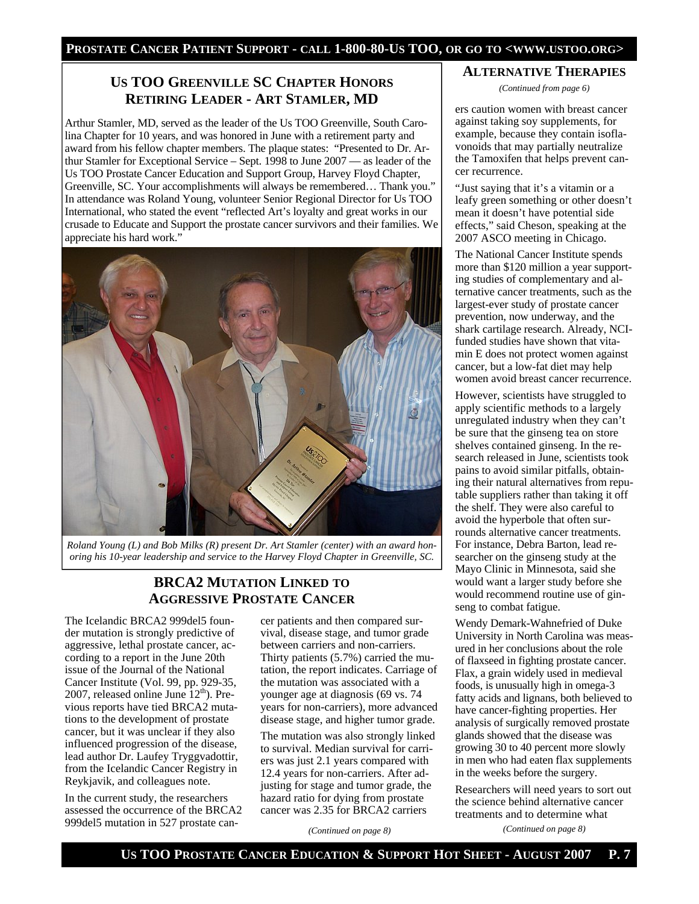## **US TOO GREENVILLE SC CHAPTER HONORS RETIRING LEADER - ART STAMLER, MD**

Arthur Stamler, MD, served as the leader of the Us TOO Greenville, South Carolina Chapter for 10 years, and was honored in June with a retirement party and award from his fellow chapter members. The plaque states: "Presented to Dr. Arthur Stamler for Exceptional Service – Sept. 1998 to June 2007 — as leader of the Us TOO Prostate Cancer Education and Support Group, Harvey Floyd Chapter, Greenville, SC. Your accomplishments will always be remembered… Thank you." In attendance was Roland Young, volunteer Senior Regional Director for Us TOO International, who stated the event "reflected Art's loyalty and great works in our crusade to Educate and Support the prostate cancer survivors and their families. We appreciate his hard work."



*Roland Young (L) and Bob Milks (R) present Dr. Art Stamler (center) with an award honoring his 10-year leadership and service to the Harvey Floyd Chapter in Greenville, SC.* 

### **BRCA2 MUTATION LINKED TO AGGRESSIVE PROSTATE CANCER**

The Icelandic BRCA2 999del5 founder mutation is strongly predictive of aggressive, lethal prostate cancer, according to a report in the June 20th issue of the Journal of the National Cancer Institute (Vol. 99, pp. 929-35, 2007, released online June  $12<sup>th</sup>$ ). Previous reports have tied BRCA2 mutations to the development of prostate cancer, but it was unclear if they also influenced progression of the disease, lead author Dr. Laufey Tryggvadottir, from the Icelandic Cancer Registry in Reykjavik, and colleagues note.

In the current study, the researchers assessed the occurrence of the BRCA2 999del5 mutation in 527 prostate cancer patients and then compared survival, disease stage, and tumor grade between carriers and non-carriers. Thirty patients (5.7%) carried the mutation, the report indicates. Carriage of the mutation was associated with a younger age at diagnosis (69 vs. 74 years for non-carriers), more advanced disease stage, and higher tumor grade.

The mutation was also strongly linked to survival. Median survival for carriers was just 2.1 years compared with 12.4 years for non-carriers. After adjusting for stage and tumor grade, the hazard ratio for dying from prostate cancer was 2.35 for BRCA2 carriers

*(Continued on page 8)* 

#### **ALTERNATIVE THERAPIES**

*(Continued from page 6)* 

ers caution women with breast cancer against taking soy supplements, for example, because they contain isoflavonoids that may partially neutralize the Tamoxifen that helps prevent cancer recurrence.

"Just saying that it's a vitamin or a leafy green something or other doesn't mean it doesn't have potential side effects," said Cheson, speaking at the 2007 ASCO meeting in Chicago.

The National Cancer Institute spends more than \$120 million a year supporting studies of complementary and alternative cancer treatments, such as the largest-ever study of prostate cancer prevention, now underway, and the shark cartilage research. Already, NCIfunded studies have shown that vitamin E does not protect women against cancer, but a low-fat diet may help women avoid breast cancer recurrence.

However, scientists have struggled to apply scientific methods to a largely unregulated industry when they can't be sure that the ginseng tea on store shelves contained ginseng. In the research released in June, scientists took pains to avoid similar pitfalls, obtaining their natural alternatives from reputable suppliers rather than taking it off the shelf. They were also careful to avoid the hyperbole that often surrounds alternative cancer treatments. For instance, Debra Barton, lead researcher on the ginseng study at the Mayo Clinic in Minnesota, said she would want a larger study before she would recommend routine use of ginseng to combat fatigue.

Wendy Demark-Wahnefried of Duke University in North Carolina was measured in her conclusions about the role of flaxseed in fighting prostate cancer. Flax, a grain widely used in medieval foods, is unusually high in omega-3 fatty acids and lignans, both believed to have cancer-fighting properties. Her analysis of surgically removed prostate glands showed that the disease was growing 30 to 40 percent more slowly in men who had eaten flax supplements in the weeks before the surgery.

Researchers will need years to sort out the science behind alternative cancer treatments and to determine what

*(Continued on page 8)*